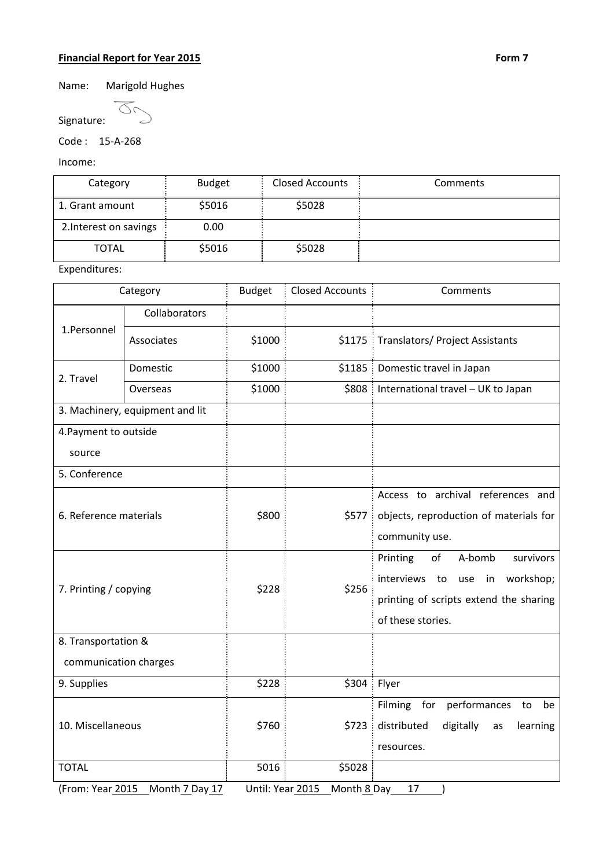## **Financial Report for Year 2015 Form 7**

Name: Marigold Hughes

 $\overline{\alpha}$ Signature:

Code : 15‐A‐268

Income:

| Category               | <b>Budget</b> | <b>Closed Accounts</b> | Comments |
|------------------------|---------------|------------------------|----------|
| 1. Grant amount        | \$5016        | \$5028                 |          |
| 2. Interest on savings | 0.00          |                        |          |
| <b>TOTAL</b>           | \$5016        | \$5028                 |          |

Expenditures:

| Category                        |                                   | <b>Budget</b>    | <b>Closed Accounts</b> | Comments                                                                                                                                        |  |  |
|---------------------------------|-----------------------------------|------------------|------------------------|-------------------------------------------------------------------------------------------------------------------------------------------------|--|--|
| 1.Personnel                     | Collaborators                     |                  |                        |                                                                                                                                                 |  |  |
|                                 | Associates                        | \$1000           |                        | \$1175 Translators/ Project Assistants                                                                                                          |  |  |
| 2. Travel                       | Domestic                          | \$1000           |                        | \$1185   Domestic travel in Japan                                                                                                               |  |  |
|                                 | Overseas                          | \$1000           |                        | \$808   International travel - UK to Japan                                                                                                      |  |  |
| 3. Machinery, equipment and lit |                                   |                  |                        |                                                                                                                                                 |  |  |
| 4. Payment to outside           |                                   |                  |                        |                                                                                                                                                 |  |  |
| source                          |                                   |                  |                        |                                                                                                                                                 |  |  |
| 5. Conference                   |                                   |                  |                        |                                                                                                                                                 |  |  |
| 6. Reference materials          |                                   | \$800            | \$577:                 | Access to archival references and<br>objects, reproduction of materials for<br>community use.                                                   |  |  |
| 7. Printing / copying           |                                   | \$228            | \$256                  | Printing<br>of<br>A-bomb<br>survivors<br>interviews to<br>workshop;<br>use<br>in<br>printing of scripts extend the sharing<br>of these stories. |  |  |
| 8. Transportation &             |                                   |                  |                        |                                                                                                                                                 |  |  |
| communication charges           |                                   |                  |                        |                                                                                                                                                 |  |  |
| 9. Supplies                     |                                   | \$228            | $$304:$ Flyer          |                                                                                                                                                 |  |  |
| 10. Miscellaneous               |                                   | \$760            | \$723                  | Filming for performances<br>to<br>be<br>distributed<br>digitally<br>learning<br>as<br>resources.                                                |  |  |
| <b>TOTAL</b>                    |                                   | 5016             | \$5028                 |                                                                                                                                                 |  |  |
|                                 | (From: Year 2015 _ Month 7 Day 17 | Until: Year 2015 | Month 8 Day            | 17                                                                                                                                              |  |  |